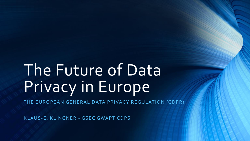# The Future of Data Privacy in Europe

THE EUROPEAN GENERAL DATA PRIVACY REGULATION (GDPR)

KLAUS-E. KLINGNER - GSEC GWAPT CDPS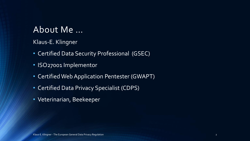#### About Me …

Klaus-E. Klingner

- Certified Data Security Professional (GSEC)
- ISO27001 Implementor
- Certified Web Application Pentester (GWAPT)
- Certified Data Privacy Specialist (CDPS)
- Veterinarian, Beekeeper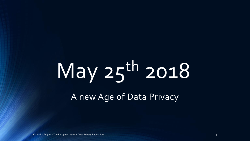# May 25th 2018

A new Age of Data Privacy

Klaus-E. Klingner - The European General Data Privacy Regulation 3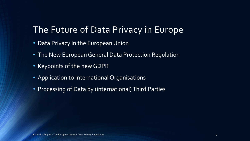#### The Future of Data Privacy in Europe

- Data Privacy in the European Union
- The New European General Data Protection Regulation
- Keypoints of the new GDPR
- Application to International Organisations
- Processing of Data by (international) Third Parties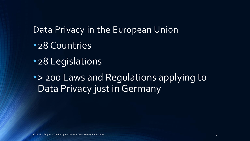#### Data Privacy in the European Union

- •28 Countries
- •28 Legislations

•> 200 Laws and Regulations applying to Data Privacy just in Germany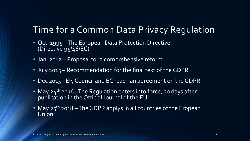### Time for a Common Data Privacy Regulation

- Oct. 1995 The European Data Protection Directive (Directive 95/46/EC)
- Jan. 2012 Proposal for a comprehensive reform
- July 2015 Recommendation for the final text of the GDPR
- Dec 2015 EP, Council and EC reach an agreement on the GDPR
- May 24<sup>th</sup> 2016 The Regulation enters into force, 20 days after publication in the Official Journal of the EU
- May  $25<sup>th</sup>$  2018 The GDPR applys in all countries of the Eropean Union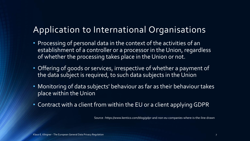### Application to International Organisations

- Processing of personal data in the context of the activities of an establishment of a controller or a processor in the Union, regardless of whether the processing takes place in the Union or not.
- Offering of goods or services, irrespective of whether a payment of the data subject is required, to such data subjects in the Union
- Monitoring of data subjects' behaviour as far as their behaviour takes place within the Union
- Contract with a client from within the EU or a client applying GDPR

Source : https://www.kentico.com/blog/gdpr-and-non-eu-companies-where-is-the-line-drawn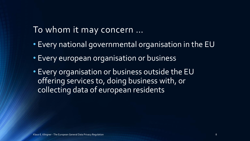#### To whom it may concern …

- Every national governmental organisation in the EU
- Every european organisation or business
- Every organisation or business outside the EU offering services to, doing business with, or collecting data of european residents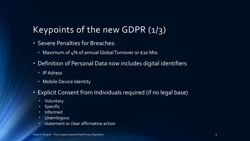# Keypoints of the new GDPR  $(1/3)$

- Severe Penalties for Breaches:
	- Maximum of 4% of annual Global Turnover or €20 Mio.
- Definition of Personal Data now includes digital identifiers
	- IP Adress
	- Mobile Device Identity
- Explicit Consent from Individuals required (if no legal base)
	- Voluntary
	- Specific
	- Informed
	- Unambigous
	- statement or clear affirmative action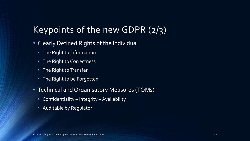# Keypoints of the new GDPR (2/3)

- Clearly Defined Rights of the Individual
	- The Right to Information
	- The Right to Correctness
	- The Right to Transfer
	- The Right to be Forgotten
- Technical and Organisatory Measures (TOMs)
	- Confidentiality Integrity Availability
	- Auditable by Regulator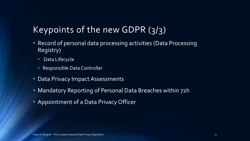# Keypoints of the new GDPR (3/3)

- Record of personal data processing activities (Data Processing Registry)
	- Data Lifecycle
	- Responsible Data Controller
- Data Privacy Impact Assessments
- Mandatory Reporting of Personal Data Breaches within 72h
- Appointment of a Data Privacy Officer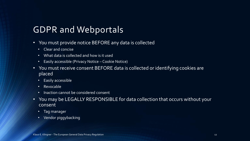#### GDPR and Webportals

- You must provide notice BEFORE any data is collected
	- Clear and concise
	- What data is collected and how is it used
	- Easily accessible (Privacy Notice Cookie Notice)
- You must receive consent BEFORE data is collected or identifying cookies are placed
	- Easily accessible
	- Revocable
	- Inaction cannot be considered consent
- You may be LEGALLY RESPONSIBLE for data collection that occurs without your consent
	- Tag manager
	- Vendor piggybacking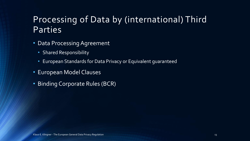### Processing of Data by (international) Third Parties

- Data Processing Agreement
	- Shared Responsibility
	- European Standards for Data Privacy or Equivalent guaranteed
- European Model Clauses
- Binding Corporate Rules (BCR)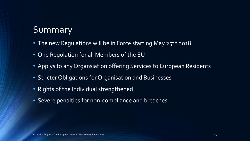# Summary

- The new Regulations will be in Force starting May 25th 2018
- One Regulation for all Members of the EU
- Applys to any Organsiation offering Services to European Residents
- Stricter Obligations for Organisation and Businesses
- Rights of the Individual strengthened
- Severe penalties for non-compliance and breaches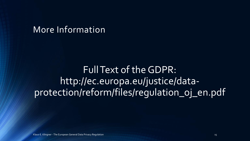#### More Information

FullText of theGDPR: http://ec.europa.eu/justice/dataprotection/reform/files/regulation\_oj\_en.pdf